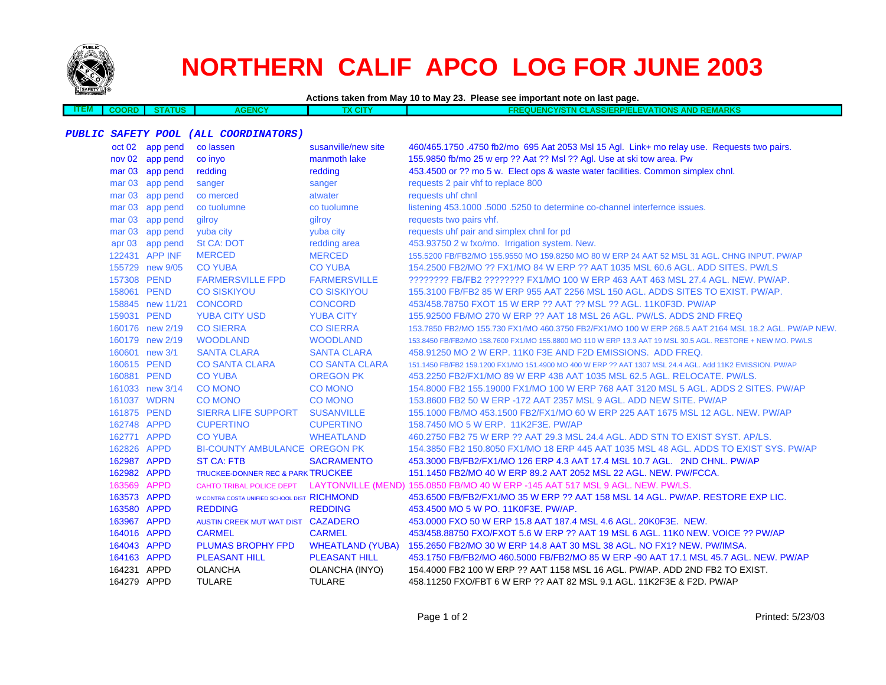

**ITEM**

## **NORTHERN CALIF APCO LOG FOR JUNE 2003**

**Actions taken from May 10 to May 23. Please see important note on last page.**

 **COORD STATUSAGENCY TX CITY FREQUENCY/STN CLASS/ERP/ELEVATIONS AND REMARKS**

## **PUBLIC SAFETY POOL (ALL COORDINATORS)**

|             | oct 02 app pend  | co lassen                                   | susanville/new site     | 460/465.1750 .4750 fb2/mo 695 Aat 2053 Msl 15 Agl. Link+ mo relay use. Requests two pairs.                 |
|-------------|------------------|---------------------------------------------|-------------------------|------------------------------------------------------------------------------------------------------------|
|             | nov 02 app pend  | co inyo                                     | manmoth lake            | 155.9850 fb/mo 25 w erp ?? Aat ?? Msl ?? Agl. Use at ski tow area. Pw                                      |
|             | mar 03 app pend  | redding                                     | redding                 | 453.4500 or ?? mo 5 w. Elect ops & waste water facilities. Common simplex chnl.                            |
|             | mar 03 app pend  | sanger                                      | sanger                  | requests 2 pair vhf to replace 800                                                                         |
|             | mar 03 app pend  | co merced                                   | atwater                 | requests uhf chnl                                                                                          |
|             | mar 03 app pend  | co tuolumne                                 | co tuolumne             | listening 453.1000 .5000 .5250 to determine co-channel interfernce issues.                                 |
|             | mar 03 app pend  | gilroy                                      | qilroy                  | requests two pairs vhf.                                                                                    |
|             | mar 03 app pend  | yuba city                                   | yuba city               | requests uhf pair and simplex chnl for pd                                                                  |
|             | apr 03 app pend  | <b>St CA: DOT</b>                           | redding area            | 453.93750 2 w fxo/mo. Irrigation system. New.                                                              |
|             | 122431 APP INF   | <b>MERCED</b>                               | <b>MERCED</b>           | 155.5200 FB/FB2/MO 155.9550 MO 159.8250 MO 80 W ERP 24 AAT 52 MSL 31 AGL. CHNG INPUT. PW/AP                |
|             | 155729 new 9/05  | <b>CO YUBA</b>                              | <b>CO YUBA</b>          | 154,2500 FB2/MO ?? FX1/MO 84 W ERP ?? AAT 1035 MSL 60.6 AGL, ADD SITES, PW/LS                              |
|             | 157308 PEND      | <b>FARMERSVILLE FPD</b>                     | <b>FARMERSVILLE</b>     | ???????? FB/FB2 ???????? FX1/MO 100 W ERP 463 AAT 463 MSL 27.4 AGL. NEW. PW/AP.                            |
|             | 158061 PEND      | <b>CO SISKIYOU</b>                          | <b>CO SISKIYOU</b>      | 155.3100 FB/FB2 85 W ERP 955 AAT 2256 MSL 150 AGL. ADDS SITES TO EXIST. PW/AP.                             |
|             | 158845 new 11/21 | <b>CONCORD</b>                              | <b>CONCORD</b>          | 453/458.78750 FXOT 15 W ERP ?? AAT ?? MSL ?? AGL. 11K0F3D. PW/AP                                           |
|             | 159031 PEND      | <b>YUBA CITY USD</b>                        | <b>YUBA CITY</b>        | 155.92500 FB/MO 270 W ERP ?? AAT 18 MSL 26 AGL. PW/LS. ADDS 2ND FREQ                                       |
|             | 160176 new 2/19  | <b>CO SIERRA</b>                            | <b>CO SIERRA</b>        | 153.7850 FB2/MO 155.730 FX1/MO 460.3750 FB2/FX1/MO 100 W ERP 268.5 AAT 2164 MSL 18.2 AGL. PW/AP NEW.       |
|             | 160179 new 2/19  | <b>WOODLAND</b>                             | <b>WOODLAND</b>         | 153.8450 FB/FB2/MO 158.7600 FX1/MO 155.8800 MO 110 W ERP 13.3 AAT 19 MSL 30.5 AGL. RESTORE + NEW MO, PW/LS |
|             | 160601 new 3/1   | <b>SANTA CLARA</b>                          | <b>SANTA CLARA</b>      | 458,91250 MO 2 W ERP, 11K0 F3E AND F2D EMISSIONS. ADD FREQ.                                                |
|             | 160615 PEND      | <b>CO SANTA CLARA</b>                       | <b>CO SANTA CLARA</b>   | 151.1450 FB/FB2 159.1200 FX1/MO 151.4900 MO 400 W ERP ?? AAT 1307 MSL 24.4 AGL. Add 11K2 EMISSION. PW/AP   |
|             | 160881 PEND      | <b>CO YUBA</b>                              | <b>OREGON PK</b>        | 453.2250 FB2/FX1/MO 89 W ERP 438 AAT 1035 MSL 62.5 AGL. RELOCATE. PW/LS.                                   |
|             | 161033 new 3/14  | <b>CO MONO</b>                              | <b>CO MONO</b>          | 154,8000 FB2 155,19000 FX1/MO 100 W ERP 768 AAT 3120 MSL 5 AGL, ADDS 2 SITES, PW/AP                        |
|             | 161037 WDRN      | <b>CO MONO</b>                              | <b>CO MONO</b>          | 153,8600 FB2 50 W ERP -172 AAT 2357 MSL 9 AGL, ADD NEW SITE, PW/AP                                         |
|             | 161875 PEND      | SIERRA LIFE SUPPORT                         | <b>SUSANVILLE</b>       | 155.1000 FB/MO 453.1500 FB2/FX1/MO 60 W ERP 225 AAT 1675 MSL 12 AGL. NEW. PW/AP                            |
| 162748 APPD |                  | <b>CUPERTINO</b>                            | <b>CUPERTINO</b>        | 158.7450 MO 5 W ERP. 11K2F3E. PW/AP                                                                        |
|             | 162771 APPD      | <b>CO YUBA</b>                              | <b>WHEATLAND</b>        | 460.2750 FB2 75 W ERP ?? AAT 29.3 MSL 24.4 AGL, ADD STN TO EXIST SYST, AP/LS.                              |
| 162826 APPD |                  | <b>BI-COUNTY AMBULANCE OREGON PK</b>        |                         | 154,3850 FB2 150,8050 FX1/MO 18 ERP 445 AAT 1035 MSL 48 AGL. ADDS TO EXIST SYS, PW/AP                      |
| 162987 APPD |                  | <b>ST CA: FTB</b>                           | <b>SACRAMENTO</b>       | 453.3000 FB/FB2/FX1/MO 126 ERP 4.3 AAT 17.4 MSL 10.7 AGL. 2ND CHNL. PW/AP                                  |
| 162982 APPD |                  | TRUCKEE-DONNER REC & PARK TRUCKEE           |                         | 151.1450 FB2/MO 40 W ERP 89.2 AAT 2052 MSL 22 AGL. NEW. PW/FCCA.                                           |
| 163569 APPD |                  |                                             |                         | CAHTO TRIBAL POLICE DEPT LAYTONVILLE (MEND) 155.0850 FB/MO 40 W ERP -145 AAT 517 MSL 9 AGL. NEW. PW/LS.    |
| 163573 APPD |                  | W CONTRA COSTA UNIFIED SCHOOL DIST RICHMOND |                         | 453,6500 FB/FB2/FX1/MO 35 W ERP ?? AAT 158 MSL 14 AGL, PW/AP, RESTORE EXP LIC.                             |
| 163580 APPD |                  | <b>REDDING</b>                              | <b>REDDING</b>          | 453.4500 MO 5 W PO. 11K0F3E. PW/AP.                                                                        |
| 163967 APPD |                  | AUSTIN CREEK MUT WAT DIST CAZADERO          |                         | 453.0000 FXO 50 W ERP 15.8 AAT 187.4 MSL 4.6 AGL. 20K0F3E. NEW.                                            |
| 164016 APPD |                  | <b>CARMEL</b>                               | <b>CARMEL</b>           | 453/458.88750 FXO/FXOT 5.6 W ERP ?? AAT 19 MSL 6 AGL. 11K0 NEW. VOICE ?? PW/AP                             |
| 164043 APPD |                  | PLUMAS BROPHY FPD                           | <b>WHEATLAND (YUBA)</b> | 155.2650 FB2/MO 30 W ERP 14.8 AAT 30 MSL 38 AGL. NO FX1? NEW. PW/IMSA.                                     |
| 164163 APPD |                  | <b>PLEASANT HILL</b>                        | <b>PLEASANT HILL</b>    | 453.1750 FB/FB2/MO 460.5000 FB/FB2/MO 85 W ERP -90 AAT 17.1 MSL 45.7 AGL. NEW. PW/AP                       |
| 164231 APPD |                  | <b>OLANCHA</b>                              | OLANCHA (INYO)          | 154.4000 FB2 100 W ERP ?? AAT 1158 MSL 16 AGL. PW/AP. ADD 2ND FB2 TO EXIST.                                |
| 164279 APPD |                  | <b>TULARE</b>                               | <b>TULARE</b>           | 458.11250 FXO/FBT 6 W ERP ?? AAT 82 MSL 9.1 AGL, 11K2F3E & F2D, PW/AP                                      |